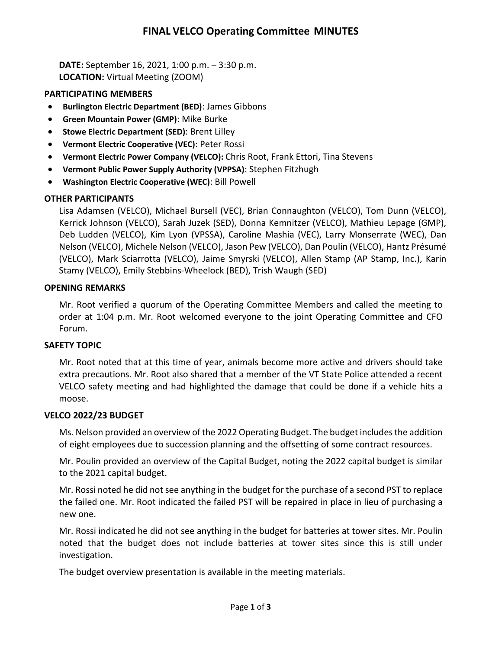## **FINAL VELCO Operating Committee MINUTES**

**DATE:** September 16, 2021, 1:00 p.m. – 3:30 p.m. **LOCATION:** Virtual Meeting (ZOOM)

## **PARTICIPATING MEMBERS**

- **Burlington Electric Department (BED)**: James Gibbons
- **Green Mountain Power (GMP)**: Mike Burke
- **Stowe Electric Department (SED)**: Brent Lilley
- **Vermont Electric Cooperative (VEC)**: Peter Rossi
- **Vermont Electric Power Company (VELCO):** Chris Root, Frank Ettori, Tina Stevens
- **Vermont Public Power Supply Authority (VPPSA)**: Stephen Fitzhugh
- **Washington Electric Cooperative (WEC)**: Bill Powell

## **OTHER PARTICIPANTS**

Lisa Adamsen (VELCO), Michael Bursell (VEC), Brian Connaughton (VELCO), Tom Dunn (VELCO), Kerrick Johnson (VELCO), Sarah Juzek (SED), Donna Kemnitzer (VELCO), Mathieu Lepage (GMP), Deb Ludden (VELCO), Kim Lyon (VPSSA), Caroline Mashia (VEC), Larry Monserrate (WEC), Dan Nelson (VELCO), Michele Nelson (VELCO), Jason Pew (VELCO), Dan Poulin (VELCO), Hantz Présumé (VELCO), Mark Sciarrotta (VELCO), Jaime Smyrski (VELCO), Allen Stamp (AP Stamp, Inc.), Karin Stamy (VELCO), Emily Stebbins-Wheelock (BED), Trish Waugh (SED)

## **OPENING REMARKS**

Mr. Root verified a quorum of the Operating Committee Members and called the meeting to order at 1:04 p.m. Mr. Root welcomed everyone to the joint Operating Committee and CFO Forum.

## **SAFETY TOPIC**

Mr. Root noted that at this time of year, animals become more active and drivers should take extra precautions. Mr. Root also shared that a member of the VT State Police attended a recent VELCO safety meeting and had highlighted the damage that could be done if a vehicle hits a moose.

## **VELCO 2022/23 BUDGET**

Ms. Nelson provided an overview of the 2022 Operating Budget. The budget includes the addition of eight employees due to succession planning and the offsetting of some contract resources.

Mr. Poulin provided an overview of the Capital Budget, noting the 2022 capital budget is similar to the 2021 capital budget.

Mr. Rossi noted he did not see anything in the budget for the purchase of a second PST to replace the failed one. Mr. Root indicated the failed PST will be repaired in place in lieu of purchasing a new one.

Mr. Rossi indicated he did not see anything in the budget for batteries at tower sites. Mr. Poulin noted that the budget does not include batteries at tower sites since this is still under investigation.

The budget overview presentation is available in the meeting materials.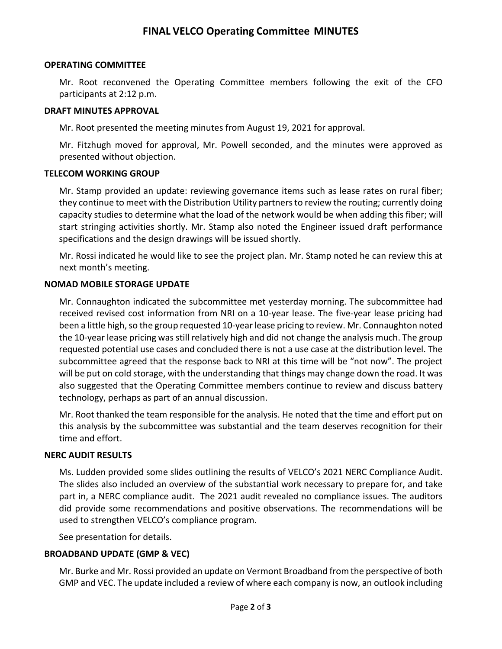## **FINAL VELCO Operating Committee MINUTES**

#### **OPERATING COMMITTEE**

Mr. Root reconvened the Operating Committee members following the exit of the CFO participants at 2:12 p.m.

#### **DRAFT MINUTES APPROVAL**

Mr. Root presented the meeting minutes from August 19, 2021 for approval.

Mr. Fitzhugh moved for approval, Mr. Powell seconded, and the minutes were approved as presented without objection.

#### **TELECOM WORKING GROUP**

Mr. Stamp provided an update: reviewing governance items such as lease rates on rural fiber; they continue to meet with the Distribution Utility partners to review the routing; currently doing capacity studies to determine what the load of the network would be when adding this fiber; will start stringing activities shortly. Mr. Stamp also noted the Engineer issued draft performance specifications and the design drawings will be issued shortly.

Mr. Rossi indicated he would like to see the project plan. Mr. Stamp noted he can review this at next month's meeting.

#### **NOMAD MOBILE STORAGE UPDATE**

Mr. Connaughton indicated the subcommittee met yesterday morning. The subcommittee had received revised cost information from NRI on a 10-year lease. The five-year lease pricing had been a little high, so the group requested 10-year lease pricing to review. Mr. Connaughton noted the 10-year lease pricing was still relatively high and did not change the analysis much. The group requested potential use cases and concluded there is not a use case at the distribution level. The subcommittee agreed that the response back to NRI at this time will be "not now". The project will be put on cold storage, with the understanding that things may change down the road. It was also suggested that the Operating Committee members continue to review and discuss battery technology, perhaps as part of an annual discussion.

Mr. Root thanked the team responsible for the analysis. He noted that the time and effort put on this analysis by the subcommittee was substantial and the team deserves recognition for their time and effort.

#### **NERC AUDIT RESULTS**

Ms. Ludden provided some slides outlining the results of VELCO's 2021 NERC Compliance Audit. The slides also included an overview of the substantial work necessary to prepare for, and take part in, a NERC compliance audit. The 2021 audit revealed no compliance issues. The auditors did provide some recommendations and positive observations. The recommendations will be used to strengthen VELCO's compliance program.

See presentation for details.

#### **BROADBAND UPDATE (GMP & VEC)**

Mr. Burke and Mr. Rossi provided an update on Vermont Broadband from the perspective of both GMP and VEC. The update included a review of where each company is now, an outlook including